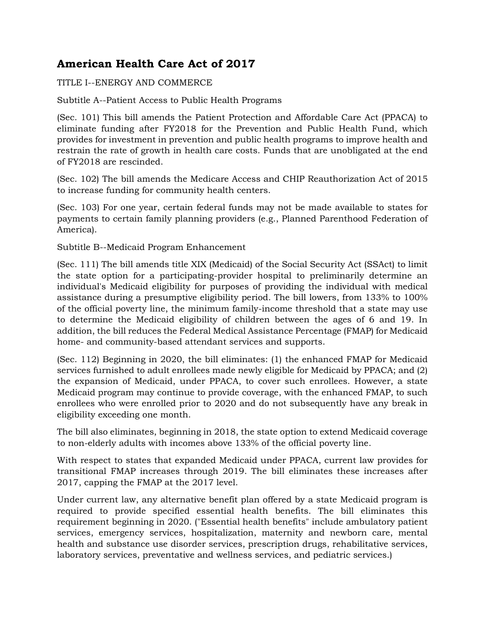## **American Health Care Act of 2017**

TITLE I--ENERGY AND COMMERCE

Subtitle A--Patient Access to Public Health Programs

(Sec. 101) This bill amends the Patient Protection and Affordable Care Act (PPACA) to eliminate funding after FY2018 for the Prevention and Public Health Fund, which provides for investment in prevention and public health programs to improve health and restrain the rate of growth in health care costs. Funds that are unobligated at the end of FY2018 are rescinded.

(Sec. 102) The bill amends the Medicare Access and CHIP Reauthorization Act of 2015 to increase funding for community health centers.

(Sec. 103) For one year, certain federal funds may not be made available to states for payments to certain family planning providers (e.g., Planned Parenthood Federation of America).

Subtitle B--Medicaid Program Enhancement

(Sec. 111) The bill amends title XIX (Medicaid) of the Social Security Act (SSAct) to limit the state option for a participating-provider hospital to preliminarily determine an individual's Medicaid eligibility for purposes of providing the individual with medical assistance during a presumptive eligibility period. The bill lowers, from 133% to 100% of the official poverty line, the minimum family-income threshold that a state may use to determine the Medicaid eligibility of children between the ages of 6 and 19. In addition, the bill reduces the Federal Medical Assistance Percentage (FMAP) for Medicaid home- and community-based attendant services and supports.

(Sec. 112) Beginning in 2020, the bill eliminates: (1) the enhanced FMAP for Medicaid services furnished to adult enrollees made newly eligible for Medicaid by PPACA; and (2) the expansion of Medicaid, under PPACA, to cover such enrollees. However, a state Medicaid program may continue to provide coverage, with the enhanced FMAP, to such enrollees who were enrolled prior to 2020 and do not subsequently have any break in eligibility exceeding one month.

The bill also eliminates, beginning in 2018, the state option to extend Medicaid coverage to non-elderly adults with incomes above 133% of the official poverty line.

With respect to states that expanded Medicaid under PPACA, current law provides for transitional FMAP increases through 2019. The bill eliminates these increases after 2017, capping the FMAP at the 2017 level.

Under current law, any alternative benefit plan offered by a state Medicaid program is required to provide specified essential health benefits. The bill eliminates this requirement beginning in 2020. ("Essential health benefits" include ambulatory patient services, emergency services, hospitalization, maternity and newborn care, mental health and substance use disorder services, prescription drugs, rehabilitative services, laboratory services, preventative and wellness services, and pediatric services.)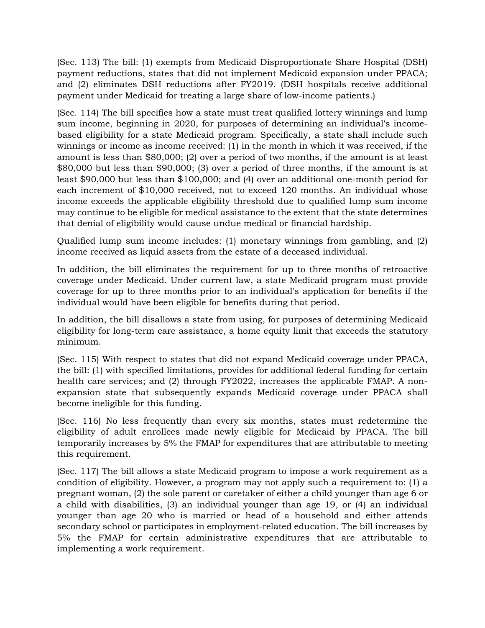(Sec. 113) The bill: (1) exempts from Medicaid Disproportionate Share Hospital (DSH) payment reductions, states that did not implement Medicaid expansion under PPACA; and (2) eliminates DSH reductions after FY2019. (DSH hospitals receive additional payment under Medicaid for treating a large share of low-income patients.)

(Sec. 114) The bill specifies how a state must treat qualified lottery winnings and lump sum income, beginning in 2020, for purposes of determining an individual's incomebased eligibility for a state Medicaid program. Specifically, a state shall include such winnings or income as income received: (1) in the month in which it was received, if the amount is less than \$80,000; (2) over a period of two months, if the amount is at least \$80,000 but less than \$90,000; (3) over a period of three months, if the amount is at least \$90,000 but less than \$100,000; and (4) over an additional one-month period for each increment of \$10,000 received, not to exceed 120 months. An individual whose income exceeds the applicable eligibility threshold due to qualified lump sum income may continue to be eligible for medical assistance to the extent that the state determines that denial of eligibility would cause undue medical or financial hardship.

Qualified lump sum income includes: (1) monetary winnings from gambling, and (2) income received as liquid assets from the estate of a deceased individual.

In addition, the bill eliminates the requirement for up to three months of retroactive coverage under Medicaid. Under current law, a state Medicaid program must provide coverage for up to three months prior to an individual's application for benefits if the individual would have been eligible for benefits during that period.

In addition, the bill disallows a state from using, for purposes of determining Medicaid eligibility for long-term care assistance, a home equity limit that exceeds the statutory minimum.

(Sec. 115) With respect to states that did not expand Medicaid coverage under PPACA, the bill: (1) with specified limitations, provides for additional federal funding for certain health care services; and (2) through FY2022, increases the applicable FMAP. A nonexpansion state that subsequently expands Medicaid coverage under PPACA shall become ineligible for this funding.

(Sec. 116) No less frequently than every six months, states must redetermine the eligibility of adult enrollees made newly eligible for Medicaid by PPACA. The bill temporarily increases by 5% the FMAP for expenditures that are attributable to meeting this requirement.

(Sec. 117) The bill allows a state Medicaid program to impose a work requirement as a condition of eligibility. However, a program may not apply such a requirement to: (1) a pregnant woman, (2) the sole parent or caretaker of either a child younger than age 6 or a child with disabilities, (3) an individual younger than age 19, or (4) an individual younger than age 20 who is married or head of a household and either attends secondary school or participates in employment-related education. The bill increases by 5% the FMAP for certain administrative expenditures that are attributable to implementing a work requirement.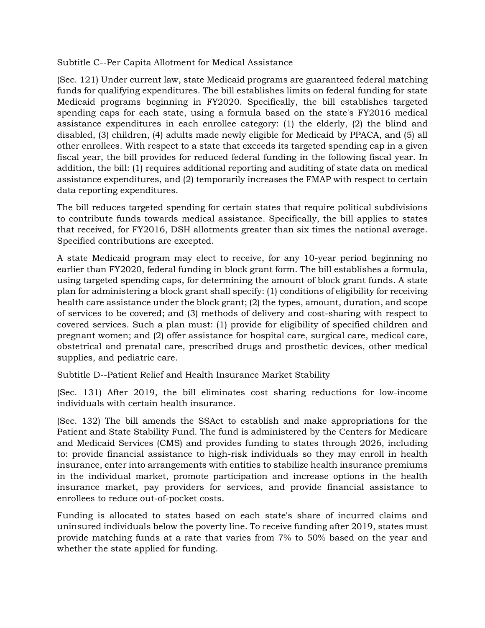Subtitle C--Per Capita Allotment for Medical Assistance

(Sec. 121) Under current law, state Medicaid programs are guaranteed federal matching funds for qualifying expenditures. The bill establishes limits on federal funding for state Medicaid programs beginning in FY2020. Specifically, the bill establishes targeted spending caps for each state, using a formula based on the state's FY2016 medical assistance expenditures in each enrollee category: (1) the elderly, (2) the blind and disabled, (3) children, (4) adults made newly eligible for Medicaid by PPACA, and (5) all other enrollees. With respect to a state that exceeds its targeted spending cap in a given fiscal year, the bill provides for reduced federal funding in the following fiscal year. In addition, the bill: (1) requires additional reporting and auditing of state data on medical assistance expenditures, and (2) temporarily increases the FMAP with respect to certain data reporting expenditures.

The bill reduces targeted spending for certain states that require political subdivisions to contribute funds towards medical assistance. Specifically, the bill applies to states that received, for FY2016, DSH allotments greater than six times the national average. Specified contributions are excepted.

A state Medicaid program may elect to receive, for any 10-year period beginning no earlier than FY2020, federal funding in block grant form. The bill establishes a formula, using targeted spending caps, for determining the amount of block grant funds. A state plan for administering a block grant shall specify: (1) conditions of eligibility for receiving health care assistance under the block grant; (2) the types, amount, duration, and scope of services to be covered; and (3) methods of delivery and cost-sharing with respect to covered services. Such a plan must: (1) provide for eligibility of specified children and pregnant women; and (2) offer assistance for hospital care, surgical care, medical care, obstetrical and prenatal care, prescribed drugs and prosthetic devices, other medical supplies, and pediatric care.

Subtitle D--Patient Relief and Health Insurance Market Stability

(Sec. 131) After 2019, the bill eliminates cost sharing reductions for low-income individuals with certain health insurance.

(Sec. 132) The bill amends the SSAct to establish and make appropriations for the Patient and State Stability Fund. The fund is administered by the Centers for Medicare and Medicaid Services (CMS) and provides funding to states through 2026, including to: provide financial assistance to high-risk individuals so they may enroll in health insurance, enter into arrangements with entities to stabilize health insurance premiums in the individual market, promote participation and increase options in the health insurance market, pay providers for services, and provide financial assistance to enrollees to reduce out-of-pocket costs.

Funding is allocated to states based on each state's share of incurred claims and uninsured individuals below the poverty line. To receive funding after 2019, states must provide matching funds at a rate that varies from 7% to 50% based on the year and whether the state applied for funding.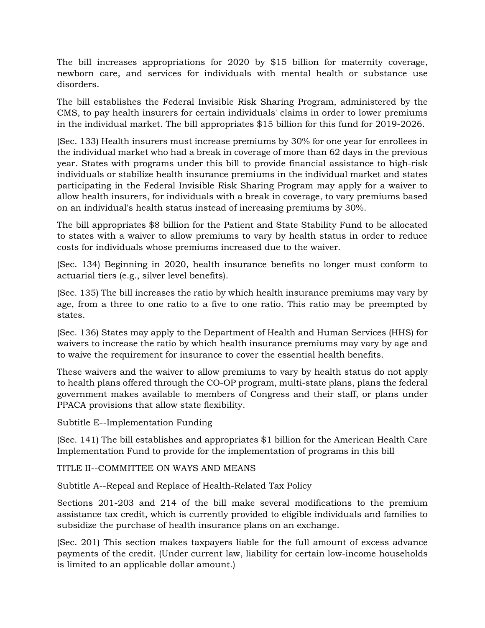The bill increases appropriations for 2020 by \$15 billion for maternity coverage, newborn care, and services for individuals with mental health or substance use disorders.

The bill establishes the Federal Invisible Risk Sharing Program, administered by the CMS, to pay health insurers for certain individuals' claims in order to lower premiums in the individual market. The bill appropriates \$15 billion for this fund for 2019-2026.

(Sec. 133) Health insurers must increase premiums by 30% for one year for enrollees in the individual market who had a break in coverage of more than 62 days in the previous year. States with programs under this bill to provide financial assistance to high-risk individuals or stabilize health insurance premiums in the individual market and states participating in the Federal Invisible Risk Sharing Program may apply for a waiver to allow health insurers, for individuals with a break in coverage, to vary premiums based on an individual's health status instead of increasing premiums by 30%.

The bill appropriates \$8 billion for the Patient and State Stability Fund to be allocated to states with a waiver to allow premiums to vary by health status in order to reduce costs for individuals whose premiums increased due to the waiver.

(Sec. 134) Beginning in 2020, health insurance benefits no longer must conform to actuarial tiers (e.g., silver level benefits).

(Sec. 135) The bill increases the ratio by which health insurance premiums may vary by age, from a three to one ratio to a five to one ratio. This ratio may be preempted by states.

(Sec. 136) States may apply to the Department of Health and Human Services (HHS) for waivers to increase the ratio by which health insurance premiums may vary by age and to waive the requirement for insurance to cover the essential health benefits.

These waivers and the waiver to allow premiums to vary by health status do not apply to health plans offered through the CO-OP program, multi-state plans, plans the federal government makes available to members of Congress and their staff, or plans under PPACA provisions that allow state flexibility.

Subtitle E--Implementation Funding

(Sec. 141) The bill establishes and appropriates \$1 billion for the American Health Care Implementation Fund to provide for the implementation of programs in this bill

TITLE II--COMMITTEE ON WAYS AND MEANS

Subtitle A--Repeal and Replace of Health-Related Tax Policy

Sections 201-203 and 214 of the bill make several modifications to the premium assistance tax credit, which is currently provided to eligible individuals and families to subsidize the purchase of health insurance plans on an exchange.

(Sec. 201) This section makes taxpayers liable for the full amount of excess advance payments of the credit. (Under current law, liability for certain low-income households is limited to an applicable dollar amount.)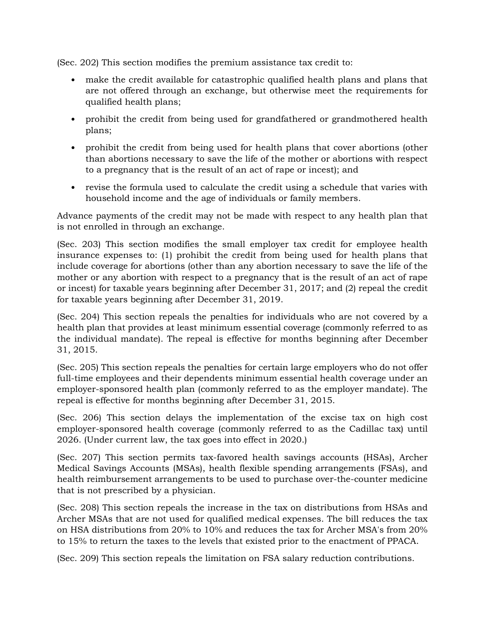(Sec. 202) This section modifies the premium assistance tax credit to:

- make the credit available for catastrophic qualified health plans and plans that are not offered through an exchange, but otherwise meet the requirements for qualified health plans;
- prohibit the credit from being used for grandfathered or grandmothered health plans;
- prohibit the credit from being used for health plans that cover abortions (other than abortions necessary to save the life of the mother or abortions with respect to a pregnancy that is the result of an act of rape or incest); and
- revise the formula used to calculate the credit using a schedule that varies with household income and the age of individuals or family members.

Advance payments of the credit may not be made with respect to any health plan that is not enrolled in through an exchange.

(Sec. 203) This section modifies the small employer tax credit for employee health insurance expenses to: (1) prohibit the credit from being used for health plans that include coverage for abortions (other than any abortion necessary to save the life of the mother or any abortion with respect to a pregnancy that is the result of an act of rape or incest) for taxable years beginning after December 31, 2017; and (2) repeal the credit for taxable years beginning after December 31, 2019.

(Sec. 204) This section repeals the penalties for individuals who are not covered by a health plan that provides at least minimum essential coverage (commonly referred to as the individual mandate). The repeal is effective for months beginning after December 31, 2015.

(Sec. 205) This section repeals the penalties for certain large employers who do not offer full-time employees and their dependents minimum essential health coverage under an employer-sponsored health plan (commonly referred to as the employer mandate). The repeal is effective for months beginning after December 31, 2015.

(Sec. 206) This section delays the implementation of the excise tax on high cost employer-sponsored health coverage (commonly referred to as the Cadillac tax) until 2026. (Under current law, the tax goes into effect in 2020.)

(Sec. 207) This section permits tax-favored health savings accounts (HSAs), Archer Medical Savings Accounts (MSAs), health flexible spending arrangements (FSAs), and health reimbursement arrangements to be used to purchase over-the-counter medicine that is not prescribed by a physician.

(Sec. 208) This section repeals the increase in the tax on distributions from HSAs and Archer MSAs that are not used for qualified medical expenses. The bill reduces the tax on HSA distributions from 20% to 10% and reduces the tax for Archer MSA's from 20% to 15% to return the taxes to the levels that existed prior to the enactment of PPACA.

(Sec. 209) This section repeals the limitation on FSA salary reduction contributions.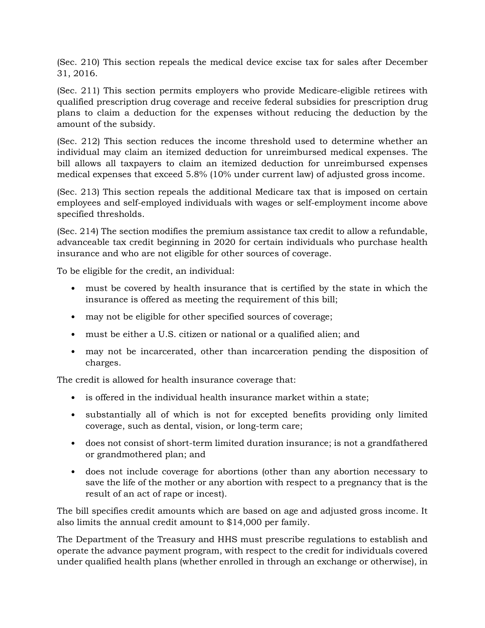(Sec. 210) This section repeals the medical device excise tax for sales after December 31, 2016.

(Sec. 211) This section permits employers who provide Medicare-eligible retirees with qualified prescription drug coverage and receive federal subsidies for prescription drug plans to claim a deduction for the expenses without reducing the deduction by the amount of the subsidy.

(Sec. 212) This section reduces the income threshold used to determine whether an individual may claim an itemized deduction for unreimbursed medical expenses. The bill allows all taxpayers to claim an itemized deduction for unreimbursed expenses medical expenses that exceed 5.8% (10% under current law) of adjusted gross income.

(Sec. 213) This section repeals the additional Medicare tax that is imposed on certain employees and self-employed individuals with wages or self-employment income above specified thresholds.

(Sec. 214) The section modifies the premium assistance tax credit to allow a refundable, advanceable tax credit beginning in 2020 for certain individuals who purchase health insurance and who are not eligible for other sources of coverage.

To be eligible for the credit, an individual:

- must be covered by health insurance that is certified by the state in which the insurance is offered as meeting the requirement of this bill;
- may not be eligible for other specified sources of coverage;
- must be either a U.S. citizen or national or a qualified alien; and
- may not be incarcerated, other than incarceration pending the disposition of charges.

The credit is allowed for health insurance coverage that:

- is offered in the individual health insurance market within a state;
- substantially all of which is not for excepted benefits providing only limited coverage, such as dental, vision, or long-term care;
- does not consist of short-term limited duration insurance; is not a grandfathered or grandmothered plan; and
- does not include coverage for abortions (other than any abortion necessary to save the life of the mother or any abortion with respect to a pregnancy that is the result of an act of rape or incest).

The bill specifies credit amounts which are based on age and adjusted gross income. It also limits the annual credit amount to \$14,000 per family.

The Department of the Treasury and HHS must prescribe regulations to establish and operate the advance payment program, with respect to the credit for individuals covered under qualified health plans (whether enrolled in through an exchange or otherwise), in